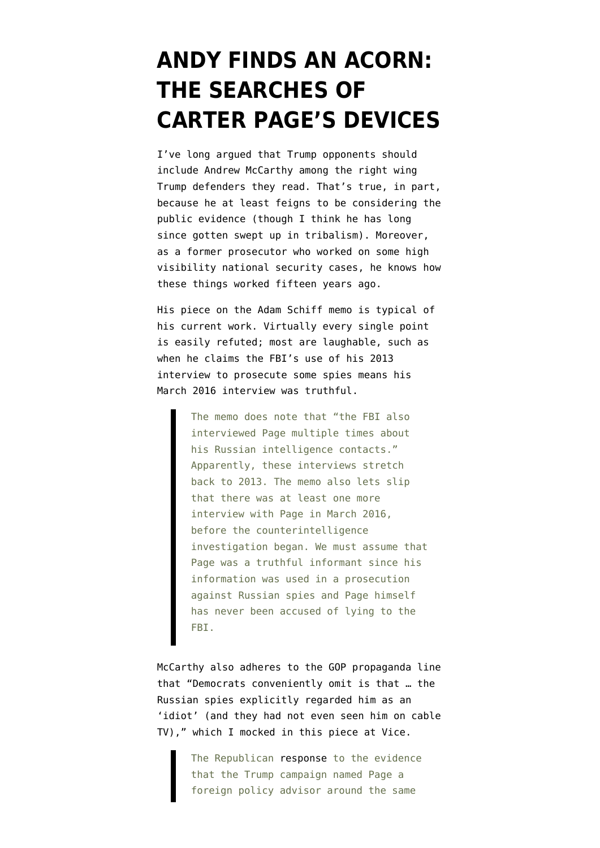## **[ANDY FINDS AN ACORN:](https://www.emptywheel.net/2018/02/27/andy-finds-an-acorn-the-searches-of-carter-pages-devices/) [THE SEARCHES OF](https://www.emptywheel.net/2018/02/27/andy-finds-an-acorn-the-searches-of-carter-pages-devices/) [CARTER PAGE'S DEVICES](https://www.emptywheel.net/2018/02/27/andy-finds-an-acorn-the-searches-of-carter-pages-devices/)**

I've long argued that Trump opponents should include Andrew McCarthy among the right wing Trump defenders they read. That's true, in part, because he at least feigns to be considering the public evidence (though I think he has long since gotten swept up in tribalism). Moreover, as a former prosecutor who worked on some high visibility national security cases, he knows how these things worked fifteen years ago.

His [piece](https://www.nationalreview.com/2018/02/schiff-memo-russia-investigation-harms-democrats-more-than-helps-them/) on the [Adam Schiff memo](http://docs.house.gov/meetings/ig/ig00/20180205/106838/hmtg-115-ig00-20180205-sd002.pdf) is typical of his current work. Virtually every single point is easily refuted; most are laughable, such as when he claims the FBI's use of his 2013 interview to prosecute some spies means his March 2016 interview was truthful.

> The memo does note that "the FBI also interviewed Page multiple times about his Russian intelligence contacts." Apparently, these interviews stretch back to 2013. The memo also lets slip that there was at least one more interview with Page in March 2016, before the counterintelligence investigation began. We must assume that Page was a truthful informant since his information was used in a prosecution against Russian spies and Page himself has never been accused of lying to the FBI.

McCarthy also adheres to the GOP propaganda line that "Democrats conveniently omit is that … the Russian spies explicitly regarded him as an 'idiot' (and they had not even seen him on cable TV)," which I mocked in [this piece at Vice](https://www.vice.com/en_us/article/4375dw/was-the-trump-campaign-full-of-spies-or-just-idiots).

> The Republican [response](https://intelligence.house.gov/uploadedfiles/democrat_memo_charge_and_response.pdf) to the evidence that the Trump campaign named Page a foreign policy advisor around the same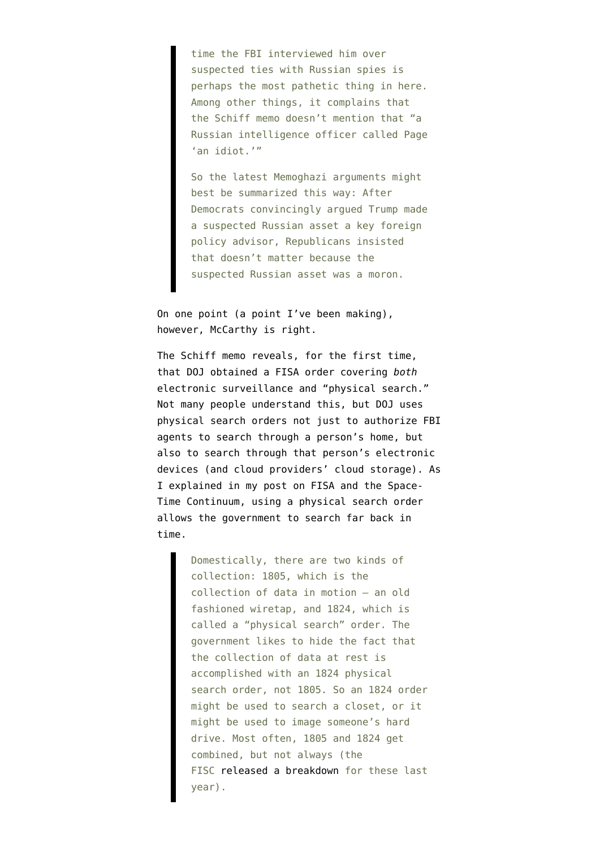time the FBI interviewed him over suspected ties with Russian spies is perhaps the most pathetic thing in here. Among other things, it complains that the Schiff memo doesn't mention that "a Russian intelligence officer called Page 'an idiot.'"

So the latest Memoghazi arguments might best be summarized this way: After Democrats convincingly argued Trump made a suspected Russian asset a key foreign policy advisor, Republicans insisted that doesn't matter because the suspected Russian asset was a moron.

On one point (a point I've been making), however, McCarthy is right.

The Schiff memo reveals, for the first time, that DOJ obtained a FISA order covering *both* electronic surveillance and "physical search." Not many people understand this, but DOJ uses physical search orders not just to authorize FBI agents to search through a person's home, but also to search through that person's electronic devices (and cloud providers' cloud storage). As I explained in my post on [FISA and the Space-](https://www.emptywheel.net/2017/09/27/fisa-and-the-space-time-continuum/)[Time Continuum](https://www.emptywheel.net/2017/09/27/fisa-and-the-space-time-continuum/), using a physical search order allows the government to search far back in time.

> Domestically, there are two kinds of collection: 1805, which is the collection of data in motion — an old fashioned wiretap, and 1824, which is called a "physical search" order. The government likes to hide the fact that the collection of data at rest is accomplished with an 1824 physical search order, not 1805. So an 1824 order might be used to search a closet, or it might be used to image someone's hard drive. Most often, 1805 and 1824 get combined, but not always (the FISC [released a breakdown](https://www.emptywheel.net/2017/05/03/i-con-the-record-transparency-bingo-playing-card/) for these last year).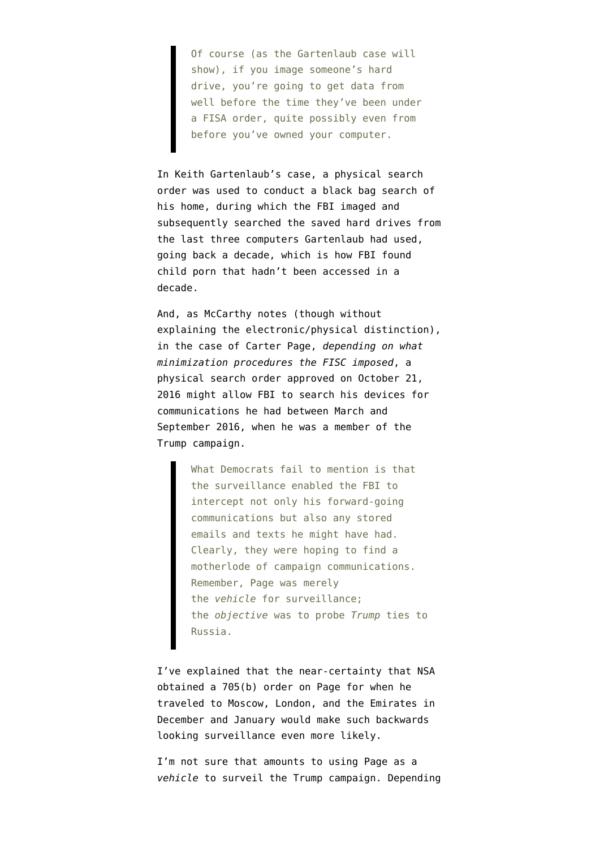Of course (as the Gartenlaub case will show), if you image someone's hard drive, you're going to get data from well before the time they've been under a FISA order, quite possibly even from before you've owned your computer.

In Keith Gartenlaub's case, a physical search order was used to conduct a black bag search of his home, during which the FBI imaged and subsequently searched the saved hard drives from the last three computers Gartenlaub had used, going back a decade, which is how FBI found child porn that hadn't been accessed in a decade.

And, as McCarthy notes (though without explaining the electronic/physical distinction), in the case of Carter Page, *depending on what minimization procedures the FISC imposed*, a physical search order approved on October 21, 2016 might allow FBI to search his devices for communications he had between March and September 2016, when he was a member of the Trump campaign.

> What Democrats fail to mention is that the surveillance enabled the FBI to intercept not only his forward-going communications but also any stored emails and texts he might have had. Clearly, they were hoping to find a motherlode of campaign communications. Remember, Page was merely the *vehicle* for surveillance; the *objective* was to probe *Trump* ties to Russia.

I've [explained](https://www.emptywheel.net/2018/02/05/nunes-is-so-dumb-he-missed-the-most-likely-way-the-trump-campaign-might-have-been-wiretapped/) that the near-certainty that NSA obtained a 705(b) order on Page for when he traveled to Moscow, London, and the Emirates in December and January would make such backwards looking surveillance even more likely.

I'm not sure that amounts to using Page as a *vehicle* to surveil the Trump campaign. Depending